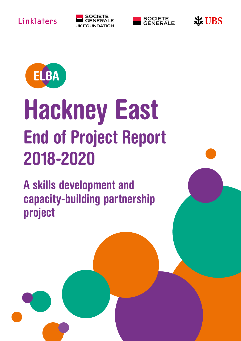





Ste UBS



# Hackney East End of Project Report 2018-2020

A skills development and capacity-building partnership project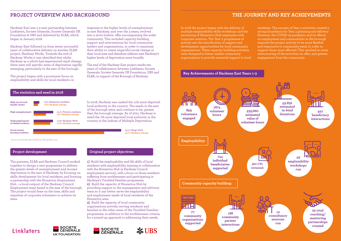Hackney East was a 3-year partnership between Linklaters, Societe Generale, Societe Generale UK Foundation & UBS and delivered by ELBA, which began in January 2018.

Hackney East followed on from seven successful years of collaborative delivery on another ELBA project, Hackney Works. Towards the end of Hackney Works it was identified that whilst Hackney as a whole had experienced rapid change, there were still specific areas of deprivation rapidly emerging, particularly in the east of the borough.

The project began with a prominent focus on employability and skills for local residents, in

The partners, ELBA and Hackney Council worked together to design a new programme to address the greater levels of unemployment and income deprivation in the east of Hackney, by focusing on skills development for local residents, and forming a partnership with the Homerton Employment Hub – a local outpost of the Hackney Council Employment team based in the east of the borough. The project would draw on the time, skills and expertise of corporate volunteers to achieve its aims.

## **Linklaters**





### **PROJECT OVERVIEW AND BACKGROUND THE JOURNEY AND KEY ACHIEVEMENTS**

In 2018, Hackney was ranked the 11th most deprived local authority in the country. The needs in the east of the borough were, and continue to be, greater than the borough average. As of 2021, Hackney is rated the 7th most deprived local authority in the country in the Indices of Multiple Deprivation.

### **The statistics and need in 2018**

**Project development**

response to the higher levels of unemployment in east Hackney, and over the 3 years, evolved into a more holistic offer encompassing the wider community. This included capacity-building support and interventions for local community leaders and organisations, in order to maximise their ability to create impactful social change in their local area and therefore address east Hackney's

higher levels of deprivation more broadly.

The end of the Hackney East project marks ten years of collaboration between Linklaters, Societe Generale, Societe Generale UK Foundation, UBS and

ELBA, in support of the Borough of Hackney.



*\*Source: London Borough of Hackney Ward profiles, 2017*



**housing residents:**

**54.1% King's Park 43.7% Hackney average**

**1)** Build the employability and life skills of local residents with employability training in collaboration

with the Homerton Hub (a Hackney Council

employment service), with a focus on those residents suffering from worklessness and participating in

Hackney's Troubled Families programme. **2)** Build the capacity of Homerton Hub by



providing support to the management and advisory



team so it can better serve the employability and employment needs of local residents of the

Homerton area.



**3)** Build the capacity of local community organisations actively serving residents and

families in the other areas of the Troubled Families programme, in addition to the worklessness criteria, for a joined-up approach to addressing their needs.

**Original project objectives**

In 2018 the project began with the delivery of multiple employability skills workshops and the partnering of Homerton Hub employees with corporate mentors. The Year 2 programme of activity saw the introduction of support and development opportunities for local community organisations. These capacity-building activities were designed to better enable community organisations to provide essential support to local

residents. The success of Year 2 activities created a strong foundation for Year 3 planning and delivery. However, the COVID-19 pandemic and its effects on employment and communities in the borough required the project activity to be more flexible and responsive to community need, in order to support those most affected. This resulted in some restructuring of the activities on offer, and greater engagement from the community.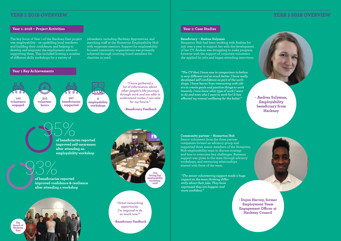*"The CV that I have now in comparison to before is very different and so much better. I have really developed self-confidence as part of the workshops. I have learnt from interacting with others to create goals and positive things to work towards. I now know what type of work I want to do and even who I want to work for! It has affected my mental wellbeing for the better."* 

*"The senior volunteering support made a huge impact on the team thinking differently about their jobs. They have expressed they are happier and more confident."* 

The key focus of Year 1 of the Hackney East project was employability - on upskilling local residents and building their confidence, and helping to develop and empower the employment advisors supporting them. This included hosting a number of different skills workshops for a variety of

### **YEAR 1 2018 OVERVIEW**

### **Year 1: 2018 – Project Activities**

jobseekers, including Hackney Apprentices, and matching staff at the Homerton Employability Hub with corporate mentors. Support for employabilityfocused community organisations was primarily achieved through sourcing board members for charities in need.

93% **of beneficiaries reported improved confidence & resilience after attending a workshop**

### **YEAR 1 2018 OVERVIEW**

### **Year 1: Case Studies**

### **Beneficiary – Andrea Sulyman**

Homerton Hub had been working with Andrea for just over a year to support her with the development of her CV. Andrea was struggling to make progress, however with the support of corporate volunteers she applied for jobs and began attending interviews.



**Community partner – Homerton Hub** Senior volunteers from the three partner companies formed an advisory group and supported three senior members of the Homerton Hub employability team to discuss strategy

and how to overcome key challenges. Business support was given to the team through advisory workshops, and mentoring relationships started with three of the team.

**after attending an**

**employability workshop**

*"Great networking opportunity. I'm inspired to do so much now!"*

**- Beneficiary Feedback**

**City Giving Day employability workshop, 2018**



**- Andrea Sulyman, Employability beneficiary from Hackney**

**- Dujon Harvey, former Employment Team Engagement Officer at Hackney Council**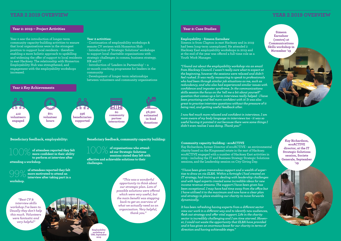*"I found out about the employability workshop via an email from Hackney Council. I wasn't really sure what to expect at the beginning, however the sessions were relaxed and didn't feel rushed. It was really reassuring to speak to professionals who had been through similar job situations as me, such as redundancy, and who also had experienced similar issues with confidence and imposter syndrome. In the communications skills session the focus on the 'tell me a bit about yourself' question that comes up a lot in interviews really helped - I have been practising and feel more confident with it! It was also great to practise interview questions without the pressure of it being real, and getting useful feedback after.*

*I now feel much more relaxed and confident in interviews. I am more aware of my body language in interviews too - it was so useful having it pointed it out because there were some things I didn't even realise I was doing. Thank you!"*

*"I have been given tremendous support and a wealth of expertise to draw on via ELBA. Within a fortnight I had created an IT strategy, had training on dealing with leadership challenges and with legal experts created some incredible ideas for new income revenue streams. The support I have been given has been exceptional. I may have had time away from the office but I have utilised it to the maximum and now have a clear plan and strategy in place enabling our charity to move forwards dynamically.*

*It has been refreshing having experts from a different sector view our work in a different way and to identify new audiences, flesh out strategy and offer vital support. Life in the charity sector is incredibly challenging and I am time starved. However, I could not waste the opportunity that ELBA have provided and it has given an enormous boost for our charity in terms of direction and having achievable steps."*

Year 2 saw the introduction of longer-term community capacity-building activities to ensure that local organisations were in the strongest position to support local residents - therefore enabling a more holistic approach to upskilling and widening the offer of support to local residents in east Hackney. The relationship with Homerton Employability Hub was strengthened, and engagement with the employability workshops increased.

### **Year 2: 2019 – Project Activities**

### **Year 2 Key Achievements**

### **Year 2 activities:**

- Continuation of employability workshops & remote CV reviews with Homerton Hub - Introduction of 'Strategic Solutions' workshops to support local charitable organisations with strategic challenges in comms, business strategy, HR and IT

- Introduction of 'Leaders in Partnership' – a 10-month coaching programme for leaders in the community

- Development of longer-term relationships between volunteers and community organisations

### **YEAR 2 2019 OVERVIEW**

### **Year 2: Case Studies**

### **Employability - Simeon Earnshaw**

Simeon is from Clapton in east Hackney and in 2019 had been long-term unemployed. He attended 2 Hackney East employability workshops in 2019 and at the end of the year was offered a full-time role as a Youth Work Manager.

### **Community capacity-building - ecoACTIVE**

Kay Richardson, former Director of ecoACTIVE - an environmental charity based on the Kingsmead estate in the east of Hackney. ecoACTIVE engaged with a number of Hackney East activities in 2019 – including the IT and Business Strategy Strategic Solutions sessions, and the Leadership session on City Giving Day.

**of attendees reported they felt more confident in their ability to perform at interview after**

**attending a workshop.**

*"Best CV & interview skills workshop I've been to. Usually they don't help this much. Volunteers were fantastic and very helpful"*



**of attendees reported they felt more motivated to attend an interview after taking part in a workshop.** 99%

*"This was a wonderful opportunity to think about our strategic plan. Lots of possible solutions were offered which were very useful, but the main benefit was stepping back to get an overview of what we actually need as an organisation. Very helpful, thank you."*

**Employability workshop at**  UBS, September **2019**



**Beneficiary feedback, employability: Beneficiary feedback, community capacity building:**

**of organisations who attended our Strategic Solutions sessions stated they left with effective and achievable solutions to their challenges.** 100%

**Simeon Earnshaw (centre) at Communications Skills workshop in November '19**

> **Kay Richardson, ecoACTIVE director, at the IT Strategic Solutions session, Societe Generale, September '19**

### **YEAR 2 2019 OVERVIEW**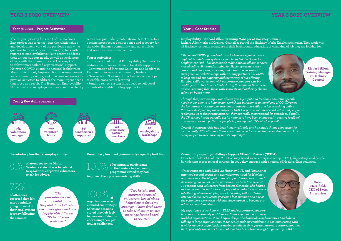*"Since the COVID-19 pandemic and lockdown began, our borough-wide hub-based system - which included the Homerton Employment Hub - has been made redundant, as all our services moved online. Skills and training for Hackney residents became one of our main priorities, and it became necessary to strengthen our relationships with training partners like ELBA to help expand our capacity and the variety of our offering. Running skills workshops with corporate volunteers was incredibly attractive to our clients during this difficult time - when advice is coming from those with seniority and authority clients take it on board more.* 

*Through this partnership, I was able to give my input and feedback about the specific needs of our clients to help design workshops in response to the effects of COVID-19 on the job market - for example, sessions on transferable skills and job searching online that were designed in partnership with UBS. Corporate volunteers add value and people really look up to their contributions - they are really inspirational for attendees. Equally, the CV service has been really useful - advisors have been giving really positive feedback and we've noticed a pattern of people improving their CVs which is good!*

*Overall this partnership has been hugely valuable and has made things a lot easier for us at a really difficult time - it has meant we could focus on other work streams and has really helped to maximise my team's capacity!"*

*"I was connected with ELBA via Hackney CVS, and I have since attended several events and activities organised for Hackney organisations. The biggest areas of support have been around developing our social media platforms - we have had several 1-1 sessions with volunteers from Societe Generale, who helped us to consider the key factors at play which make for a successful offering when developing a social media platform. I also attended a Business Strategy session last summer, and one of the volunteers we worked with has since agreed to become our advisory board member!*

*My experience of working with ELBA and corporate volunteers has been an extremely positive one. It has exposed me to a new world of organisations, it has helped demystified attitudes and anxieties I had about talking to large organisations. It has really built my confidence in communicating with a wider range of organisations during a difficult time, particularly corporate companies that I probably would not have contacted had I not been brought together by ELBA."*





**Peter Merrifield, CEO of Swim Enterprises**

The original priority for Year 3 of the Hackney East project was to consolidate the relationships and development work of the previous years – the goal was to focus on specific demographics with regards to employability skills in order to address their unique support needs, as well as work more closely with the community and Hackney CVS to deliver more tailored organisational support. However, COVID-19 and the national lockdown in March 2020 hugely impacted both the employment and community sectors, and it became necessary to pivot all activities to address the more urgent needs that arose as a result. The Homerton Employability Hub closed and redeployed services, and the charity organisations with funding applications

### **YEAR 3 2020 OVERVIEW**

### **Year 3: 2020 – Project Activities**

sector was put under greater strain. Year 3 therefore became more focused on response and recovery for the wider Hackney community, and all activities and sessions were moved online.

### **Year 3 activities:**

- Introduction of 'Digital Employability Seminars' to
- address the increased demand for skills support - Continuation of Strategic Solutions and Leaders in
- Partnership to support community leaders - New series of 'Learning from Leaders' workshops
- to enable cross-sector learning - Funding review system introduced to help local

### **YEAR 3 2020 OVERVIEW**

### **Year 3: Case Studies**

**Employability - Richard Allen, Training Manager at Hackney Council** Richard Allen works at Hackney Council as part of the Hackney Works Employment team. They work with all Hackney residents regardless of their background, education, or what kind of job they are looking for.



**Community capacity-building - Support When It Matters (SWIM)** Peter Merrifield, CEO of SWIM - a Hackney-based social enterprise set up in 2019, supporting local people by widening access to local services. In 2020 they engaged with a variety of Hackney East activities.

**of attendees to the Digital Seminars stated it was beneficial to speak with corporate volunteers to ask for advice.**

**of attendees reported they felt more confident going forward in their employment journey following the seminar.**

*"The presentation was really useful and to the point. I am following the advice given and now I apply with different CVs to different positions."*

*"Very helpful and motivated team of volunteers, lots of ideas, helped me to focus my strategy - I have fresh ideas to take with me to trustee meetings for the board to review."*

## 72%

### **Beneficiary feedback, employability: Beneficiary feedback, community capacity building:**

### **of community participants on the Leaders in Partnership programme stated they had improved their problem-solving skills.**

# **of**

**organisations who attended our Strategic Solutions sessions stated they left feeling more confident in addressing their particular challenges.**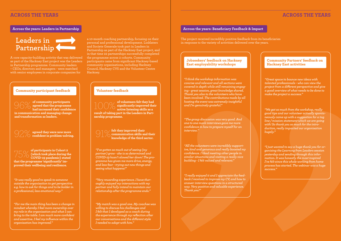A core capacity-building activity that was delivered as part of the Hackney East project was the Leaders in Partnership programme. Community leaders – CEOs, directors and managers - were matched with senior employees in corporate companies for

### **Across the years: Leaders in Partnership**



### **Community participant feedback**

a 10-month coaching partnership, focusing on their personal and professional development. Linklaters and Societe Generale took part in Leaders in Partnership as part of the Hackney East project, and in that time 22 partnerships successfully completed the programme across 2 cohorts. Community participants came from significant Hackney-based community organisations, including Hackney Council, Hackney CVS and the Volunteer Centre Hackney.

### **Across the years: Beneficiary Feedback & Impact**

**of volunteers felt they had significantly improved their active listening skills as a result of taking part in the Leaders in Partnership programme.**

> **felt they improved their communication skills and their knowledge of the third sector.**

**of community participants agreed that the programme**   $\bigcirc$   $\bigcirc$   $\bigcirc$  of community participants<br>agreed that the programme<br>had increased their confidence **in communication and managing change and transformation as leaders.**

**agreed they were now more** 92% **confident in problem-solving.** 91%

**of participants in Cohort 2 (which took place during the COVID-19 pandemic) stated that the programme 'significantly' improved their wellbeing and resilience.**

*"It was really good to speak to someone outside the organisation to get perspective e.g. how to ask for things and to be bolder in a professional, less emotional way."* 

*"I've gotten so much out of seeing (my partner) grow - she is so determined and COVID-19 hasn't slowed her down! The programme has given me more drive, energy, and less fear - trying out new things and seeing what happens!"* 

*"Very rewarding experience. I have thoroughly enjoyed my interactions with my partner and fully intend to maintain our relationship after the programme ends."* 

*"My match was a good one. My coachee was willing to discuss his challenges and I felt that I developed as a coach during the experience through my reflection after our conversations and the different style I needed to adopt with him."* 

*"For me the main thing has been a change in mindset whereby I feel more ownership over my role in the organisation and what I can bring to the table. I am much more confident and assertive. I feel my influence within the organisation has improved."* 

The project received incredibly positive feedback from its beneficiaries in response to the variety of activities delivered over the years.

> *"Great space to bounce new ideas with talented professionals - who can view the project from a different perspective and give a good overview of what needs to be done to make the project a success."*

> *"We got so much from the workshop, really good tips and our volunteer actually spontaneously came up with a suggestion for a tag line / mission statement which we are going with! So thank you so much for the introduction, really impacted our organisation hugely."*

> *"I just wanted to say a huge thank you for organising the Learning from Leaders session yesterday and sending through this information. It was honestly the most inspired I've felt since this whole working from home process has started. The webinar was a huge success."*

*"I think the workshop information was concise and relevant and all sections were covered in depth while still remaining engaging - great session, great knowledge shared. Thank you also to the volunteers who have been involved. The contributions made by all hosting the event was extremely insightful and I'm genuinely grateful."* 

*"The group discussion was very good. And one to one mock interviews gave me more confidence in how to prepare myself for an interview."* 

*"All the volunteers were incredibly supportive, kind and generous and really boosted my confidence. I liked meeting other people in similar situations and visiting a really nice building - I felt valued and relevant."* 

*"I really enjoyed it and I appreciate the feedback I received to improve my CV, and how to answer interview questions in a structured way. Very positive and valuable experience. Thank you!"* 

### **Volunteer feedback**

### **Jobseekers' feedback on Hackney East employability workshops**

### **Community Partners' feedback on Hackney East activities**

### **ACROSS THE YEARS ACROSS THE YEARS**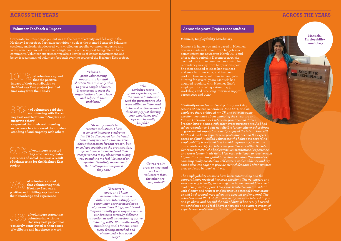*"I initially attended an Employability workshop session at Societe Generale in June 2019, and an employee there critiqued my CV and gave me some excellent feedback about changing the structure and format. I also did mock interview practice and did ice breaker 'bingo' games with other event participants. As I had taken redundancy, I was not eligible for benefits or other forms of government support, so I really enjoyed the interaction with ELBA's skilled and experienced professionals and the experienced and highly skilled volunteers who helped me regarding employability issues and how I could improve my job search and confidence. My job interview practise was with a Societe Generale director who had extensive international experience and was a leader in his field. I felt very privileged to receive such high-calibre and insightful interview coaching. The interview coaching really boosted my self-esteem and confidence and my coach also was eager to provide me with feedback after my interview and stay in touch with me.* 

*The employability sessions have been outstanding and the support I have received has been excellent. The volunteers and staff are very friendly, welcoming and inclusive and I received a lot of help and support. I felt I was treated as an individual with dignity and respect and my unique personal circumstances and background were taken into account and explored. The volunteers and ELBA staff take a really personal interest in you and go above and beyond the call of duty. It has really boosted my confidence and I feel I have a network and support system of experienced professionals that I can always turn to for advice."*

### **ACROSS THE YEARS**

Corporate volunteer engagement was at the heart of activity and delivery in the Hackney East project. Particular activities – such as the themed Strategic Solutions sessions, and leadership-focused work – relied on specific volunteer expertise and skills, which enhanced the already-high quality of the support being offered to the community. Volunteer experience was also a key focus of impact measurement, and below is a summary of volunteer feedback over the course of the Hackney East project.

100% **of volunteers agreed that the positive impact of their contribution to the Hackney East project justified time away from their desks**

### **Volunteer Feedback & Impact**

**- of volunteers said that**   $\bigotimes$   $\bigotimes$   $\searrow$  of volunteers said that volunteering with Hack**ney East enabled them to 'inspire and motivate others'**

**- reported that their volunteering experience has increased their understanding of and empathy with others**

**of volunteers reported they now have a greater awareness of social issues as a result of volunteering for the Hackney East project**

**of volunteers stated that volunteering with Hackney East was a positive and fulfilling way to share their knowledge and experience**

**of volunteers stated that volunteering with the Hackney East project has positively contributed to their sense of wellbeing and happiness at work** 

*"This is a great volunteering opportunity for staff short on time and only able to give a couple of hours. It was great to meet the organisations face to face and help with their problems."*

*"The workshop was a great experience, and the chance to interact with the participants who were willing to listen and take advice. Sometimes I think simply just sharing* 

*helpful."*

*"It was really great to meet and work with volunteers from the other two companies!"*

*your experience and tips can be really "As many people in creative industries, I have a sense of imposter syndrome that I'll be discovered for the fraud I am at any moment. I was nervous about this session for that reason, but once I got speaking to the organisation, my confidence increased and their receptiveness to my ideas went a long way in making me feel like less of an imposter. Definitely recommend that colleagues take part if they can."*

> *"It was very good, and I hope we were able to make a difference. Interestingly our community partner asked as to why we do these things, and I think they are a really good way to exercise our brains in a totally different direction as well as developing active listening skills. It' s intellectually stimulating and, I for one, come away feeling stretched and challenged – in a good way."*

### **ACROSS THE YEARS**

### **Across the years: Project case studies**

### **Manuela, Employability beneficiary**

Manuela is in her 50s and is based in Hackney. She was made redundant from her job as a communications advisor in March 2015; and after a short period in December 2015 she decided to start her own business using her redundancy money from her previous post. She then decided to close her business and seek full time work, and has been working freelance, volunteering and jobhunting for several years. Manuela has engaged regularly with Hackney East's employability offering - attending 3 workshops and receiving interview support across 2019 and 2020.

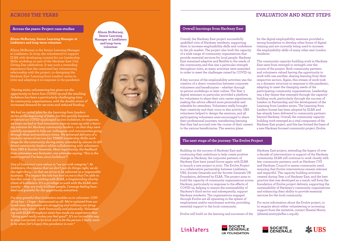*"During 2020, volunteering has given me the opportunity to learn how COVID-19 and the resulting lockdown has been a particularly challenging time for community organisations, with the double strain of increased demand for services and reduced funding.* 

*We had an initial plan for the Learning from Leaders series at the beginning of 2020, but this quickly became irrelevant as COVID-19 plunged us into lockdown. In response, we knew we had to find innovative ways to come up with a learning solution for Hackney community leaders – so that they were usefully equipped to help our colleagues and communities going through these extraordinary times. We achieved delivery of a modular series of not one but THREE Leadership Skills workshops for the community during 2020; attended by almost 70 different community leaders whilst collaborating with volunteers from UBS & Societe Generale. Most importantly, the feedback from attendees was fantastic: one attendee saying, "this is the most inspired I've been since lockdown"!*

*One of Linklaters' core values is "we act with integrity". At Linklaters, this means that we don't just do things right, we do the right thing – in that we strive to be admired as a responsible business. The impact the role has had on me is that I'm able to live this value – by working with ELBA, a longstanding charity client of Linklaters. It's a privilege to work with the ELBA community – they are truly brilliant people. I emerge feeling humbled and grateful for the opportunity everytime.*

*I'm very grateful that Linklaters enables us to volunteer. COV-ID-19 has – I hope – humanised us all. We're isolated from our loved ones. Businesses are struggling and millions are struggling to stay alive – both financially and physically. Volunteering with ELBA throughout 2020 has made me experience that "doing good really makes you feel good". It's an incredible way to stay connected, to be kind, and to be the person I really want to be when (let's hope) this pandemic is over."*

### **Across the years: Project case studies**

### **ACROSS THE YEARS**

### **Alison McBurney, Senior Learning Manager at Linklaters and long-term volunteer**

Alison McBurney is the Senior Learning Manager at Linklaters. In 2019, she volunteered to support ELBA with developing content for our Leadership Skills workshop as part of the Hackney East City Giving Day celebration. It was such a rewarding experience that she continued her volunteering relationship with the project, co-designing the Hackney East 'Learning from Leaders' series in 2020 and adapting it in response to the pandemic.

**Alison McBurney, Senior Learning Manager at Linklaters and long-term volunteer**

### **EVALUATION AND NEXT STEPS**

Building on the success of Hackney East and continuing their ambitions to help create positive change in Hackney, the corporate partners of Hackney East have joined forces again with ELBA to launch a new project in 2021. The Evolve Project is a collaborative partnership between Linklaters, UBS, Societe Generale and the Societe Generale UK Foundation, delivered by ELBA. The project aims to build the capacity of community organisations across Hackney, particularly in response to the effects of COVID-19, helping to ensure the sustainability of Hackney's third sector and subsequently, support Hackney residents. The organisations engaged through Evolve are all operating in the sphere of employment and/or enrichment activity, providing essential support to the local community.

Evolve will build on the learning and successes of the

Linklaters



Hackney East project, extending the legacy of over a decade of interventions in support of the Hackney community. ELBA will continue to work closely with key community partners, such as Hackney CVS and Hackney Council to assess community need, ensuring that Evolve interventions remain relevant and impactful. The capacity building activities created during Year 3 of Hackney East, and the best practice that was developed as a result, will form the foundation of Evolve project delivery, supporting the sustainability of Hackney's community organisations and enhancing their ability to provide essential services for the local community.

For more information about the Evolve project, or to enquire about either volunteering or accessing support from the initiative, contact Sheetal Mistry (sheetal.mistry@elba-1.org.uk).





Overall, the Hackney East project successfully upskilled 100s of Hackney residents, supporting them to increase employability skills and confidence in the job market. The project also built the capacity of a wide range of community organisations that provide essential services for local people. Hackney East remained adaptive and flexible to the needs of the community, and this was a particular strength throughout 2020, as many activities were amended in order to meet the challenges raised by COVID-19.

A key success of the employability activities was the creation of a direct connection between corporate volunteers and beneficiaries – whether through in-person workshops or later online. The Year 3 digital seminars in particular provided a platform for volunteers to share their own career experiences, making the advice offered more personable and relatable for attendees. Volunteers really brought their creativity and their voice to this activity. UBS volunteers helped to design the sessions, and all participating volunteers were encouraged to share their professional journeys, transferring learning that they had accrued over the course of their careers to the various beneficiaries. The session plans

for the digital employability seminars provided a strong foundation to develop other forms of digital training and are currently being used to increase the employability skills of many other east London residents.

The community capacity-building work in Hackney East went from strength to strength over the course of the project. Both community partners and volunteers valued having the opportunity to work with one another, sharing learning from their respective sectors. Again, this stream of work took on a dynamic structure in response to the pandemic, adapting to meet the changing needs of the participating community organisations. Leadership was a key theme that emerged through the capacitybuilding work, particularly through the success of Leaders in Partnership and the development of the Learning from Leaders series. The Learning from Leaders format has been adopted by ELBA and has already been delivered to community partners beyond Hackney. Overall, the community capacitybuilding work emerged as a vital component of the Hackney East project, and this has formed the basis of a new Hackney-focused community project, Evolve.

### **Overall learnings from Hackney East**

### **The next stage of the journey: The Evolve Project**